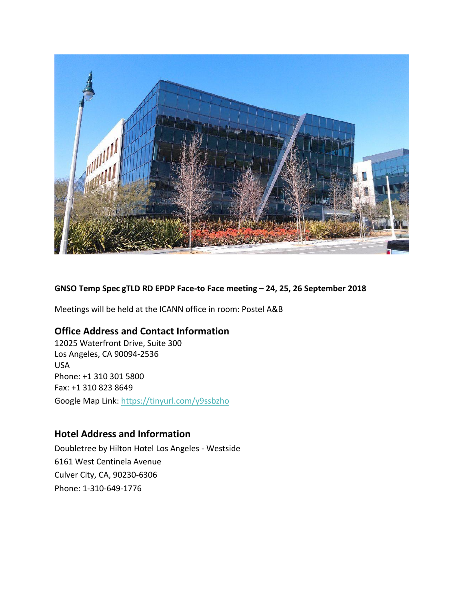

## **GNSO Temp Spec gTLD RD EPDP Face-to Face meeting – 24, 25, 26 September 2018**

Meetings will be held at the ICANN office in room: Postel A&B

## **Office Address and Contact Information**

12025 Waterfront Drive, Suite 300 Los Angeles, CA 90094-2536 USA Phone: +1 310 301 5800 Fax: +1 310 823 8649 Google Map Link:<https://tinyurl.com/y9ssbzho>

# **Hotel Address and Information**

Doubletree by Hilton Hotel Los Angeles - Westside 6161 West Centinela Avenue Culver City, CA, 90230-6306 Phone: 1-310-649-1776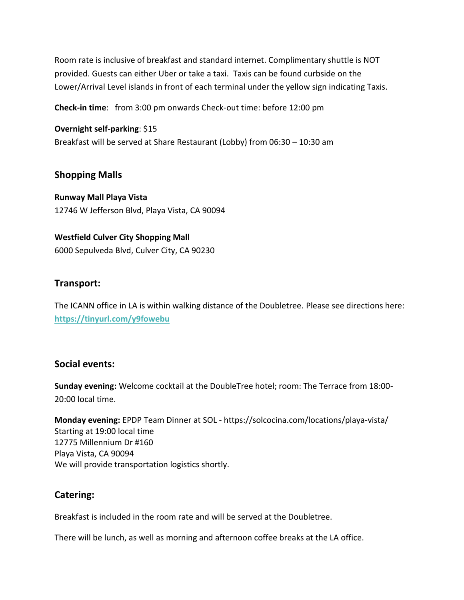Room rate is inclusive of breakfast and standard internet. Complimentary shuttle is NOT provided. Guests can either Uber or take a taxi. Taxis can be found curbside on the Lower/Arrival Level islands in front of each terminal under the yellow sign indicating Taxis.

**Check-in time**: from 3:00 pm onwards Check-out time: before 12:00 pm

#### **Overnight self-parking**: \$15

Breakfast will be served at Share Restaurant (Lobby) from 06:30 – 10:30 am

# **Shopping Malls**

**Runway Mall Playa Vista**  12746 W Jefferson Blvd, Playa Vista, CA 90094

# **Westfield Culver City Shopping Mall**

6000 Sepulveda Blvd, Culver City, CA 90230

# **Transport:**

The ICANN office in LA is within walking distance of the Doubletree. Please see directions here: **<https://tinyurl.com/y9fowebu>**

## **Social events:**

**Sunday evening:** Welcome cocktail at the DoubleTree hotel; room: The Terrace from 18:00- 20:00 local time.

**Monday evening:** EPDP Team Dinner at SOL - https://solcocina.com/locations/playa-vista/ Starting at 19:00 local time 12775 Millennium Dr #160 Playa Vista, CA 90094 We will provide transportation logistics shortly.

# **Catering:**

Breakfast is included in the room rate and will be served at the Doubletree.

There will be lunch, as well as morning and afternoon coffee breaks at the LA office.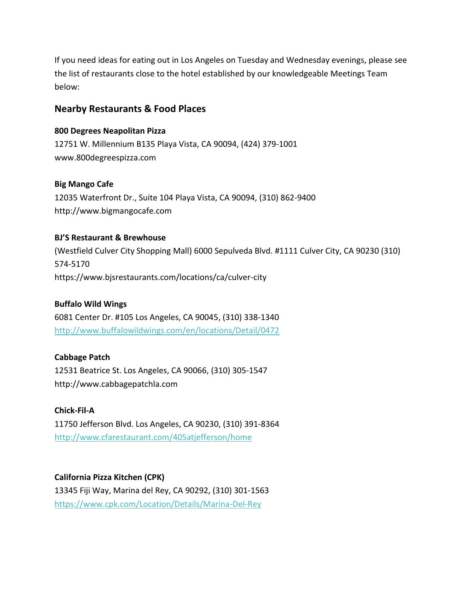If you need ideas for eating out in Los Angeles on Tuesday and Wednesday evenings, please see the list of restaurants close to the hotel established by our knowledgeable Meetings Team below:

## **Nearby Restaurants & Food Places**

## **800 Degrees Neapolitan Pizza**

12751 W. Millennium B135 Playa Vista, CA 90094, (424) 379-1001 www.800degreespizza.com

## **Big Mango Cafe**

12035 Waterfront Dr., Suite 104 Playa Vista, CA 90094, (310) 862-9400 http://www.bigmangocafe.com

## **BJ'S Restaurant & Brewhouse**

(Westfield Culver City Shopping Mall) 6000 Sepulveda Blvd. #1111 Culver City, CA 90230 (310) 574-5170 https://www.bjsrestaurants.com/locations/ca/culver-city

## **Buffalo Wild Wings**

6081 Center Dr. #105 Los Angeles, CA 90045, (310) 338-1340 <http://www.buffalowildwings.com/en/locations/Detail/0472>

## **Cabbage Patch**

12531 Beatrice St. Los Angeles, CA 90066, (310) 305-1547 http://www.cabbagepatchla.com

#### **Chick-Fil-A**

11750 Jefferson Blvd. Los Angeles, CA 90230, (310) 391-8364 <http://www.cfarestaurant.com/405atjefferson/home>

#### **California Pizza Kitchen (CPK)**

13345 Fiji Way, Marina del Rey, CA 90292, (310) 301-1563 <https://www.cpk.com/Location/Details/Marina-Del-Rey>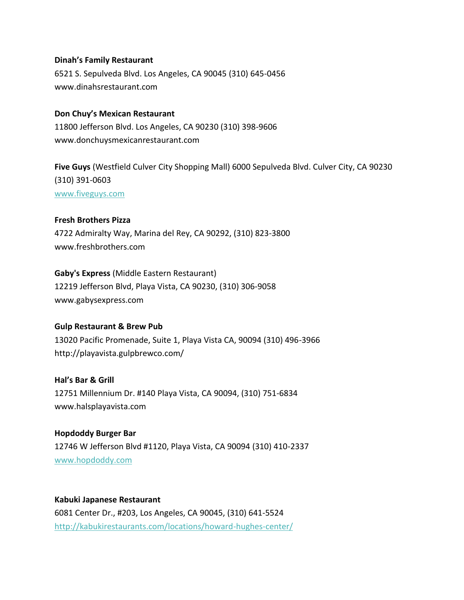#### **Dinah's Family Restaurant**

6521 S. Sepulveda Blvd. Los Angeles, CA 90045 (310) 645-0456 www.dinahsrestaurant.com

## **Don Chuy's Mexican Restaurant**

11800 Jefferson Blvd. Los Angeles, CA 90230 (310) 398-9606 www.donchuysmexicanrestaurant.com

**Five Guys** (Westfield Culver City Shopping Mall) 6000 Sepulveda Blvd. Culver City, CA 90230 (310) 391-0603 [www.fiveguys.com](http://www.fiveguys.com/)

#### **Fresh Brothers Pizza**

4722 Admiralty Way, Marina del Rey, CA 90292, (310) 823-3800 www.freshbrothers.com

## **Gaby's Express** (Middle Eastern Restaurant)

12219 Jefferson Blvd, Playa Vista, CA 90230, (310) 306-9058 www.gabysexpress.com

## **Gulp Restaurant & Brew Pub**

13020 Pacific Promenade, Suite 1, Playa Vista CA, 90094 (310) 496-3966 http://playavista.gulpbrewco.com/

# **Hal's Bar & Grill**

12751 Millennium Dr. #140 Playa Vista, CA 90094, (310) 751-6834 www.halsplayavista.com

**Hopdoddy Burger Bar**  12746 W Jefferson Blvd #1120, Playa Vista, CA 90094 (310) 410-2337 [www.hopdoddy.com](http://www.hopdoddy.com/)

# **Kabuki Japanese Restaurant**

6081 Center Dr., #203, Los Angeles, CA 90045, (310) 641-5524 <http://kabukirestaurants.com/locations/howard-hughes-center/>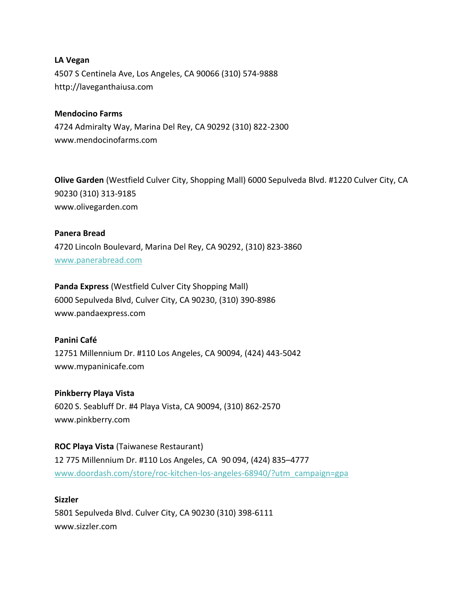# **LA Vegan**  4507 S Centinela Ave, Los Angeles, CA 90066 (310) 574-9888 http://laveganthaiusa.com

#### **Mendocino Farms**

4724 Admiralty Way, Marina Del Rey, CA 90292 (310) 822-2300 www.mendocinofarms.com

**Olive Garden** (Westfield Culver City, Shopping Mall) 6000 Sepulveda Blvd. #1220 Culver City, CA 90230 (310) 313-9185 www.olivegarden.com

# **Panera Bread**  4720 Lincoln Boulevard, Marina Del Rey, CA 90292, (310) 823-3860 [www.panerabread.com](http://www.panerabread.com/)

**Panda Express** (Westfield Culver City Shopping Mall) 6000 Sepulveda Blvd, Culver City, CA 90230, (310) 390-8986 www.pandaexpress.com

# **Panini Café**  12751 Millennium Dr. #110 Los Angeles, CA 90094, (424) 443-5042 www.mypaninicafe.com

**Pinkberry Playa Vista**  6020 S. Seabluff Dr. #4 Playa Vista, CA 90094, (310) 862-2570 www.pinkberry.com

**ROC Playa Vista** (Taiwanese Restaurant) 12 775 Millennium Dr. #110 Los Angeles, CA 90 094, (424) 835–4777 [www.doordash.com/store/roc-kitchen-los-angeles-68940/?utm\\_campaign=gpa](http://www.doordash.com/store/roc-kitchen-los-angeles-68940/?utm_campaign=gpa)

**Sizzler**  5801 Sepulveda Blvd. Culver City, CA 90230 (310) 398-6111 www.sizzler.com